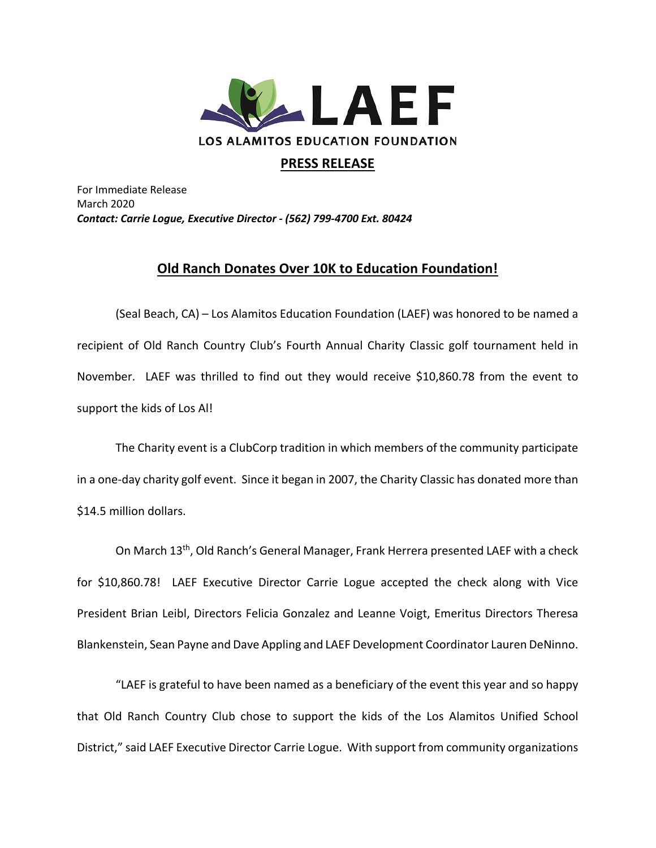

## **PRESS RELEASE**

For Immediate Release March 2020 *Contact: Carrie Logue, Executive Director - (562) 799-4700 Ext. 80424*

## **Old Ranch Donates Over 10K to Education Foundation!**

(Seal Beach, CA) – Los Alamitos Education Foundation (LAEF) was honored to be named a recipient of Old Ranch Country Club's Fourth Annual Charity Classic golf tournament held in November. LAEF was thrilled to find out they would receive \$10,860.78 from the event to support the kids of Los Al!

The Charity event is a ClubCorp tradition in which members of the community participate in a one-day charity golf event. Since it began in 2007, the Charity Classic has donated more than \$14.5 million dollars.

On March 13<sup>th</sup>, Old Ranch's General Manager, Frank Herrera presented LAEF with a check for \$10,860.78! LAEF Executive Director Carrie Logue accepted the check along with Vice President Brian Leibl, Directors Felicia Gonzalez and Leanne Voigt, Emeritus Directors Theresa Blankenstein, Sean Payne and Dave Appling and LAEF Development Coordinator Lauren DeNinno.

"LAEF is grateful to have been named as a beneficiary of the event this year and so happy that Old Ranch Country Club chose to support the kids of the Los Alamitos Unified School District," said LAEF Executive Director Carrie Logue. With support from community organizations